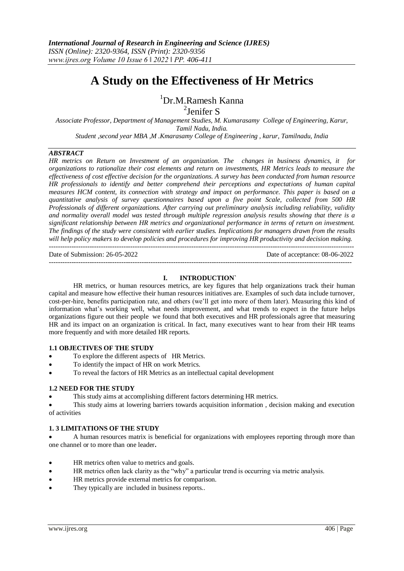# **A Study on the Effectiveness of Hr Metrics**

# <sup>1</sup>Dr.M.Ramesh Kanna

2 Jenifer S

*Associate Professor, Department of Management Studies, M. Kumarasamy College of Engineering, Karur, Tamil Nadu, India. Student ,second year MBA ,M .Kmarasamy College of Engineering , karur, Tamilnadu, India*

## *ABSTRACT*

*HR metrics on Return on Investment of an organization. The changes in business dynamics, it for organizations to rationalize their cost elements and return on investments, HR Metrics leads to measure the effectiveness of cost effective decision for the organizations. A survey has been conducted from human resource HR professionals to identify and better comprehend their perceptions and expectations of human capital measures HCM content, its connection with strategy and impact on performance. This paper is based on a quantitative analysis of survey questionnaires based upon a five point Scale, collected from 500 HR Professionals of different organizations. After carrying out preliminary analysis including reliability, validity and normality overall model was tested through multiple regression analysis results showing that there is a significant relationship between HR metrics and organizational performance in terms of return on investment. The findings of the study were consistent with earlier studies. Implications for managers drawn from the results will help policy makers to develop policies and procedures for improving HR productivity and decision making.* ---------------------------------------------------------------------------------------------------------------------------------------

Date of Submission: 26-05-2022 Date of acceptance: 08-06-2022  $-1-\frac{1}{2}$ 

## **I. INTRODUCTION`**

HR metrics, or human resources metrics, are key figures that help organizations track their human capital and measure how effective their human resources initiatives are. Examples of such data include turnover, cost-per-hire, benefits participation rate, and others (we'll get into more of them later). Measuring this kind of information what's working well, what needs improvement, and what trends to expect in the future helps organizations figure out their people we found that both executives and HR professionals agree that measuring HR and its impact on an organization is critical. In fact, many executives want to hear from their HR teams more frequently and with more detailed HR [reports.](https://www.bamboohr.com/blog/3-hr-reports-every-small-business-needs/)

## **1.1 OBJECTIVES OF THE STUDY**

- To explore the different aspects of HR Metrics.
- To identify the impact of HR on work Metrics.
- To reveal the factors of HR Metrics as an intellectual capital development

## **1.2 NEED FOR THE STUDY**

This study aims at accomplishing different factors determining HR metrics.

 This study aims at lowering barriers towards acquisition information , decision making and execution of activities

## **1. 3 LIMITATIONS OF THE STUDY**

 A human resources matrix is beneficial for organizations with employees reporting through more than one channel or to more than one leader**.**

- HR metrics often value to metrics and goals.
- HR metrics often lack clarity as the "why" a particular trend is occurring via metric analysis.
- HR metrics provide external metrics for comparison.
- They typically are included in business reports..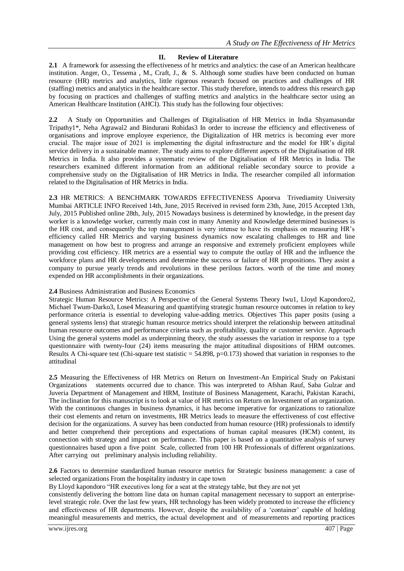## **II. Review of Literature**

**2.1** A framework for assessing the effectiveness of hr metrics and analytics: the case of an American healthcare institution. Anger, O., Tessema , M., Craft, J., & S. Although some studies have been conducted on human resource (HR) metrics and analytics, little rigorous research focused on practices and challenges of HR (staffing) metrics and analytics in the healthcare sector. This study therefore, intends to address this research gap by focusing on practices and challenges of staffing metrics and analytics in the healthcare sector using an American Healthcare Institution (AHCI). This study has the following four objectives:

**2.2** A Study on Opportunities and Challenges of Digitalisation of HR Metrics in India Shyamasundar Tripathy1\*, Neha Agrawal2 and Bindurani Rohidas3 In order to increase the efficiency and effectiveness of organisations and improve employee experience, the Digitalization of HR metrics is becoming ever more crucial. The major issue of 2021 is implementing the digital infrastructure and the model for HR's digital service delivery in a sustainable manner. The study aims to explore different aspects of the Digitalisation of HR Metrics in India. It also provides a systematic review of the Digitalisation of HR Metrics in India. The researchers examined different information from an additional reliable secondary source to provide a comprehensive study on the Digitalisation of HR Metrics in India. The researcher compiled all information related to the Digitalisation of HR Metrics in India.

**2.3** HR METRICS: A BENCHMARK TOWARDS EFFECTIVENESS Apoorva Trivediamity University Mumbai ARTICLE INFO Received 14th, June, 2015 Received in revised form 23th, June, 2015 Accepted 13th, July, 2015 Published online 28th, July, 2015 Nowadays business is determined by knowledge, in the present day worker is a knowledge worker, currently main cost in many Amenity and Knowledge determined businesses is the HR cost, and consequently the top management is very intense to have its emphasis on measuring HR's efficiency called HR Metrics and varying business dynamics now escalating challenges to HR and line management on how best to progress and arrange an responsive and extremely proficient employees while providing cost efficiency. HR metrics are a essential way to compute the outlay of HR and the influence the workforce plans and HR developments and determine the success or failure of HR propositions. They assist a company to pursue yearly trends and revolutions in these perilous factors. worth of the time and money expended on HR accomplishments in their organizations.

## **2.4** Business Administration and Business Economics

Strategic Human Resource Metrics: A Perspective of the General Systems Theory Iwu1, Lloyd Kapondoro2, Michael Twum-Darko3, Lose4 Measuring and quantifying strategic human resource outcomes in relation to key performance criteria is essential to developing value-adding metrics. Objectives This paper posits (using a general systems lens) that strategic human resource metrics should interpret the relationship between attitudinal human resource outcomes and performance criteria such as profitability, quality or customer service. Approach Using the general systems model as underpinning theory, the study assesses the variation in response to a type questionnaire with twenty-four (24) items measuring the major attitudinal dispositions of HRM outcomes. Results A Chi-square test (Chi-square test statistic  $= 54.898$ , p=0.173) showed that variation in responses to the attitudinal

**2.5** Measuring the Effectiveness of HR Metrics on Return on Investment-An Empirical Study on Pakistani Organizations statements occurred due to chance. This was interpreted to Afshan Rauf, Saba Gulzar and Juveria Department of Management and HRM, Institute of Business Management, Karachi, Pakistan Karachi, The inclination for this manuscript is to look at value of HR metrics on Return on Investment of an organization. With the continuous changes in business dynamics, it has become imperative for organizations to rationalize their cost elements and return on investments, HR Metrics leads to measure the effectiveness of cost effective decision for the organizations. A survey has been conducted from human resource (HR) professionals to identify and better comprehend their perceptions and expectations of human capital measures (HCM) content, its connection with strategy and impact on performance. This paper is based on a quantitative analysis of survey questionnaires based upon a five point Scale, collected from 100 HR Professionals of different organizations. After carrying out preliminary analysis including reliability.

**2.6** Factors to determine standardized human resource metrics for Strategic business management: a case of selected organizations From the hospitality industry in cape town

By Lloyd kapondoro "HR executives long for a seat at the strategy table, but they are not yet

consistently delivering the bottom line data on human capital management necessary to support an enterpriselevel strategic role. Over the last few years, HR technology has been widely promoted to increase the efficiency and effectiveness of HR departments. However, despite the availability of a 'container' capable of holding meaningful measurements and metrics, the actual development and of measurements and reporting practices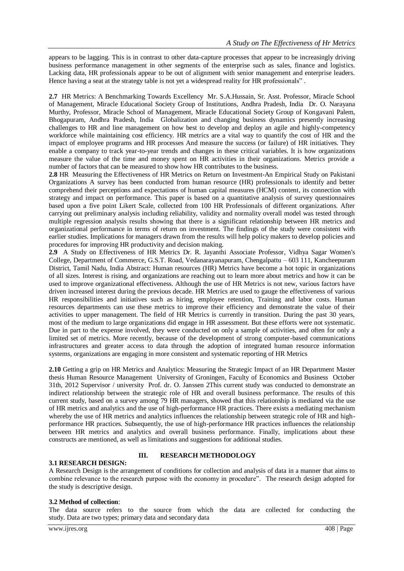appears to be lagging. This is in contrast to other data-capture processes that appear to be increasingly driving business performance management in other segments of the enterprise such as sales, finance and logistics. Lacking data, HR professionals appear to be out of alignment with senior management and enterprise leaders. Hence having a seat at the strategy table is not yet a widespread reality for HR professionals".

**2.7** HR Metrics: A Benchmarking Towards Excellency Mr. S.A.Hussain, Sr. Asst. Professor, Miracle School of Management, Miracle Educational Society Group of Institutions, Andhra Pradesh, India Dr. O. Narayana Murthy, Professor, Miracle School of Management, Miracle Educational Society Group of Kongavani Palem, Bhogapuram, Andhra Pradesh, India Globalization and changing business dynamics presently increasing challenges to HR and line management on how best to develop and deploy an agile and highly-competency workforce while maintaining cost efficiency. HR metrics are a vital way to quantify the cost of HR and the impact of employee programs and HR processes And measure the success (or failure) of HR initiatives. They enable a company to track year-to-year trends and changes in these critical variables. It is how organizations measure the value of the time and money spent on HR activities in their organizations. Metrics provide a number of factors that can be measured to show how HR contributes to the business.

**2.8** HR Measuring the Effectiveness of HR Metrics on Return on Investment-An Empirical Study on Pakistani Organizations A survey has been conducted from human resource (HR) professionals to identify and better comprehend their perceptions and expectations of human capital measures (HCM) content, its connection with strategy and impact on performance. This paper is based on a quantitative analysis of survey questionnaires based upon a five point Likert Scale, collected from 100 HR Professionals of different organizations. After carrying out preliminary analysis including reliability, validity and normality overall model was tested through multiple regression analysis results showing that there is a significant relationship between HR metrics and organizational performance in terms of return on investment. The findings of the study were consistent with earlier studies. Implications for managers drawn from the results will help policy makers to develop policies and procedures for improving HR productivity and decision making.

**2.9** A Study on Effectiveness of HR Metrics Dr. R. Jayanthi Associate Professor, Vidhya Sagar Women's College, Department of Commerce, G.S.T. Road, Vedanarayanapuram, Chengalpattu – 603 111, Kancheepuram District, Tamil Nadu, India Abstract: Human resources (HR) Metrics have become a hot topic in organizations of all sizes. Interest is rising, and organizations are reaching out to learn more about metrics and how it can be used to improve organizational effectiveness. Although the use of HR Metrics is not new, various factors have driven increased interest during the previous decade. HR Metrics are used to gauge the effectiveness of various HR responsibilities and initiatives such as hiring, employee retention, Training and labor costs. Human resources departments can use these metrics to improve their efficiency and demonstrate the value of their activities to upper management. The field of HR Metrics is currently in transition. During the past 30 years, most of the medium to large organizations did engage in HR assessment. But these efforts were not systematic. Due in part to the expense involved, they were conducted on only a sample of activities, and often for only a limited set of metrics. More recently, because of the development of strong computer-based communications infrastructures and greater access to data through the adoption of integrated human resource information systems, organizations are engaging in more consistent and systematic reporting of HR Metrics

**2.10** Getting a grip on HR Metrics and Analytics: Measuring the Strategic Impact of an HR Department Master thesis Human Resource Management University of Groningen, Faculty of Economics and Business October 31th, 2012 Supervisor / university Prof. dr. O. Janssen 2This current study was conducted to demonstrate an indirect relationship between the strategic role of HR and overall business performance. The results of this current study, based on a survey among 79 HR managers, showed that this relationship is mediated via the use of HR metrics and analytics and the use of high-performance HR practices. There exists a mediating mechanism whereby the use of HR metrics and analytics influences the relationship between strategic role of HR and highperformance HR practices. Subsequently, the use of high-performance HR practices influences the relationship between HR metrics and analytics and overall business performance. Finally, implications about these constructs are mentioned, as well as limitations and suggestions for additional studies.

## **3.1 RESEARCH DESIGN:**

## **III. RESEARCH METHODOLOGY**

A Research Design is the arrangement of conditions for collection and analysis of data in a manner that aims to combine relevance to the research purpose with the economy in procedure". The research design adopted for the study is descriptive design.

#### **3.2 Method of collection**:

The data source refers to the source from which the data are collected for conducting the study. Data are two types; primary data and secondary data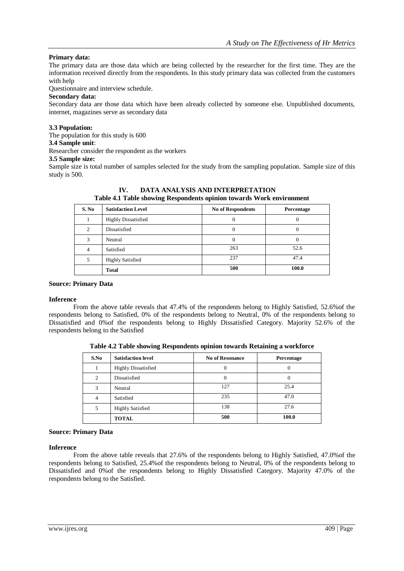## **Primary data:**

The primary data are those data which are being collected by the researcher for the first time. They are the information received directly from the respondents. In this study primary data was collected from the customers with help

Questionnaire and interview schedule.

## **Secondary data:**

Secondary data are those data which have been already collected by someone else. Unpublished documents, internet, magazines serve as secondary data

## **3.3 Population:**

The population for this study is 600

## **3.4 Sample unit**:

Researcher consider the respondent as the workers

## **3.5 Sample size:**

Sample size is total number of samples selected for the study from the sampling population. Sample size of this study is 500.

| S. No | <b>Satisfaction Level</b>  | <b>No of Respondents</b> | Percentage |
|-------|----------------------------|--------------------------|------------|
|       | <b>Highly Dissatisfied</b> |                          | $\theta$   |
| 2.    | Dissatisfied               |                          | O          |
|       | Neutral                    |                          | 0          |
|       | Satisfied                  | 263                      | 52.6       |
|       | <b>Highly Satisfied</b>    | 237                      | 47.4       |
|       | <b>Total</b>               | 500                      | 100.0      |

**IV. DATA ANALYSIS AND INTERPRETATION Table 4.1 Table showing Respondents opinion towards Work environment**

## **Source: Primary Data**

## **Inference**

From the above table reveals that 47.4% of the respondents belong to Highly Satisfied, 52.6%of the respondents belong to Satisfied, 0% of the respondents belong to Neutral, 0% of the respondents belong to Dissatisfied and 0%of the respondents belong to Highly Dissatisfied Category. Majority 52.6% of the respondents belong to the Satisfied

| S.No | <b>Satisfaction level</b>  | <b>No of Resonance</b> | Percentage |
|------|----------------------------|------------------------|------------|
|      | <b>Highly Dissatisfied</b> | 0                      |            |
| 2    | Dissatisfied               | 0                      | $\left($   |
| 3    | Neutral                    | 127                    | 25.4       |
| 4    | Satisfied                  | 235                    | 47.0       |
| 5    | <b>Highly Satisfied</b>    | 138                    | 27.6       |
|      | <b>TOTAL</b>               | 500                    | 100.0      |

**Table 4.2 Table showing Respondents opinion towards Retaining a workforce**

## **Source: Primary Data**

## **Inference**

From the above table reveals that 27.6% of the respondents belong to Highly Satisfied, 47.0%of the respondents belong to Satisfied, 25.4%of the respondents belong to Neutral, 0% of the respondents belong to Dissatisfied and 0%of the respondents belong to Highly Dissatisfied Category. Majority 47.0% of the respondents belong to the Satisfied.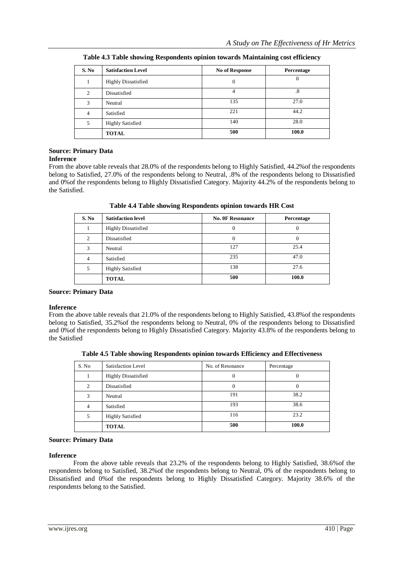| S. No | <b>Satisfaction Level</b>  | <b>No of Response</b> | Percentage |
|-------|----------------------------|-----------------------|------------|
| 1     | <b>Highly Dissatisfied</b> | $\theta$              | U          |
| 2     | Dissatisfied               | 4                     | $\cdot^8$  |
| 3     | Neutral                    | 135                   | 27.0       |
| 4     | Satisfied                  | 221                   | 44.2       |
| 5     | <b>Highly Satisfied</b>    | 140                   | 28.0       |
|       | <b>TOTAL</b>               | 500                   | 100.0      |

**Table 4.3 Table showing Respondents opinion towards Maintaining cost efficiency**

#### **Source: Primary Data Inference**

From the above table reveals that 28.0% of the respondents belong to Highly Satisfied, 44.2%of the respondents belong to Satisfied, 27.0% of the respondents belong to Neutral, .8% of the respondents belong to Dissatisfied and 0%of the respondents belong to Highly Dissatisfied Category. Majority 44.2% of the respondents belong to the Satisfied.

| Table 4.4 Table showing Respondents opinion towards HR Cost |
|-------------------------------------------------------------|
|-------------------------------------------------------------|

| S. No          | <b>Satisfaction level</b>  | <b>No. 0F Resonance</b> | Percentage |
|----------------|----------------------------|-------------------------|------------|
|                | <b>Highly Dissatisfied</b> | 0                       |            |
| $\mathfrak{D}$ | Dissatisfied               | 0                       | 0          |
|                | Neutral                    | 127                     | 25.4       |
| 4              | Satisfied                  | 235                     | 47.0       |
|                | <b>Highly Satisfied</b>    | 138                     | 27.6       |
|                | <b>TOTAL</b>               | 500                     | 100.0      |

## **Source: Primary Data**

## **Inference**

From the above table reveals that 21.0% of the respondents belong to Highly Satisfied, 43.8%of the respondents belong to Satisfied, 35.2%of the respondents belong to Neutral, 0% of the respondents belong to Dissatisfied and 0%of the respondents belong to Highly Dissatisfied Category. Majority 43.8% of the respondents belong to the Satisfied

**Table 4.5 Table showing Respondents opinion towards Efficiency and Effectiveness**

| S. No | Satisfaction Level         | No. of Resonance | Percentage |
|-------|----------------------------|------------------|------------|
|       | <b>Highly Dissatisfied</b> |                  |            |
| 2     | Dissatisfied               | $\theta$         | 0          |
| 3     | Neutral                    | 191              | 38.2       |
| 4     | Satisfied                  | 193              | 38.6       |
| 5     | <b>Highly Satisfied</b>    | 116              | 23.2       |
|       | <b>TOTAL</b>               | 500              | 100.0      |

## **Source: Primary Data**

## **Inference**

From the above table reveals that 23.2% of the respondents belong to Highly Satisfied, 38.6%of the respondents belong to Satisfied, 38.2%of the respondents belong to Neutral, 0% of the respondents belong to Dissatisfied and 0%of the respondents belong to Highly Dissatisfied Category. Majority 38.6% of the respondents belong to the Satisfied.